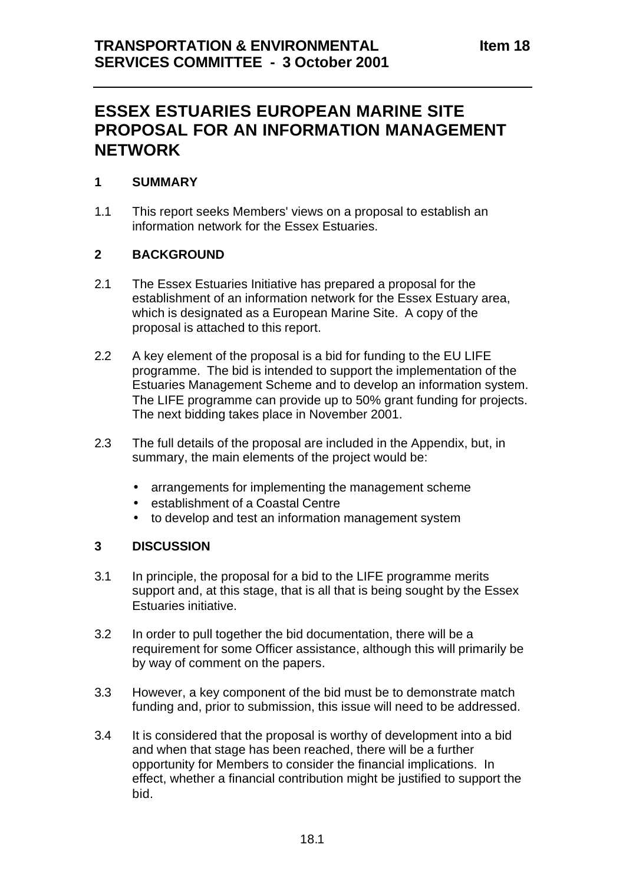# **ESSEX ESTUARIES EUROPEAN MARINE SITE PROPOSAL FOR AN INFORMATION MANAGEMENT NETWORK**

## **1 SUMMARY**

1.1 This report seeks Members' views on a proposal to establish an information network for the Essex Estuaries.

## **2 BACKGROUND**

- 2.1 The Essex Estuaries Initiative has prepared a proposal for the establishment of an information network for the Essex Estuary area, which is designated as a European Marine Site. A copy of the proposal is attached to this report.
- 2.2 A key element of the proposal is a bid for funding to the EU LIFE programme. The bid is intended to support the implementation of the Estuaries Management Scheme and to develop an information system. The LIFE programme can provide up to 50% grant funding for projects. The next bidding takes place in November 2001.
- 2.3 The full details of the proposal are included in the Appendix, but, in summary, the main elements of the project would be:
	- arrangements for implementing the management scheme
	- establishment of a Coastal Centre
	- to develop and test an information management system

#### **3 DISCUSSION**

- 3.1 In principle, the proposal for a bid to the LIFE programme merits support and, at this stage, that is all that is being sought by the Essex Estuaries initiative.
- 3.2 In order to pull together the bid documentation, there will be a requirement for some Officer assistance, although this will primarily be by way of comment on the papers.
- 3.3 However, a key component of the bid must be to demonstrate match funding and, prior to submission, this issue will need to be addressed.
- 3.4 It is considered that the proposal is worthy of development into a bid and when that stage has been reached, there will be a further opportunity for Members to consider the financial implications. In effect, whether a financial contribution might be justified to support the bid.